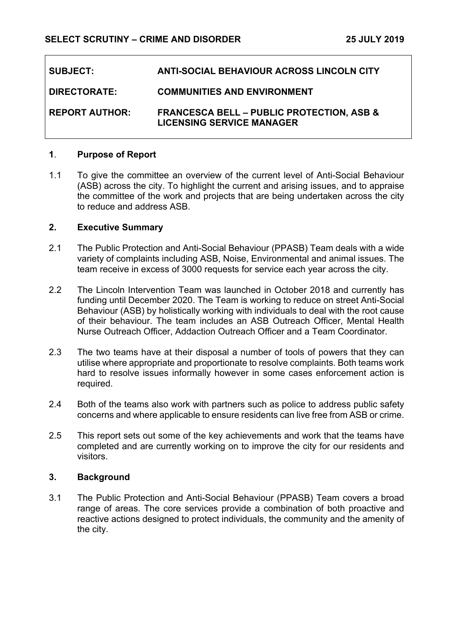| <b>SUBJECT:</b>       | <b>ANTI-SOCIAL BEHAVIOUR ACROSS LINCOLN CITY</b>                                         |
|-----------------------|------------------------------------------------------------------------------------------|
| <b>DIRECTORATE:</b>   | <b>COMMUNITIES AND ENVIRONMENT</b>                                                       |
| <b>REPORT AUTHOR:</b> | <b>FRANCESCA BELL - PUBLIC PROTECTION, ASB &amp;</b><br><b>LICENSING SERVICE MANAGER</b> |

### **1**. **Purpose of Report**

1.1 To give the committee an overview of the current level of Anti-Social Behaviour (ASB) across the city. To highlight the current and arising issues, and to appraise the committee of the work and projects that are being undertaken across the city to reduce and address ASB.

### **2. Executive Summary**

- 2.1 The Public Protection and Anti-Social Behaviour (PPASB) Team deals with a wide variety of complaints including ASB, Noise, Environmental and animal issues. The team receive in excess of 3000 requests for service each year across the city.
- 2.2 The Lincoln Intervention Team was launched in October 2018 and currently has funding until December 2020. The Team is working to reduce on street Anti-Social Behaviour (ASB) by holistically working with individuals to deal with the root cause of their behaviour. The team includes an ASB Outreach Officer, Mental Health Nurse Outreach Officer, Addaction Outreach Officer and a Team Coordinator.
- 2.3 The two teams have at their disposal a number of tools of powers that they can utilise where appropriate and proportionate to resolve complaints. Both teams work hard to resolve issues informally however in some cases enforcement action is required.
- 2.4 Both of the teams also work with partners such as police to address public safety concerns and where applicable to ensure residents can live free from ASB or crime.
- 2.5 This report sets out some of the key achievements and work that the teams have completed and are currently working on to improve the city for our residents and visitors.

### **3. Background**

3.1 The Public Protection and Anti-Social Behaviour (PPASB) Team covers a broad range of areas. The core services provide a combination of both proactive and reactive actions designed to protect individuals, the community and the amenity of the city.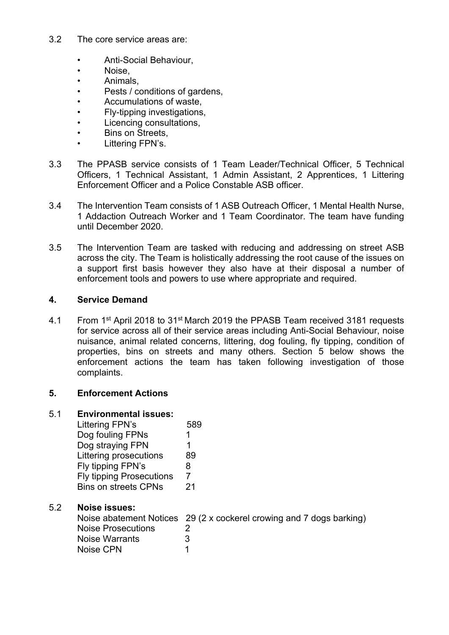- 3.2 The core service areas are:
	- Anti-Social Behaviour,
	- Noise,
	- Animals,
	- Pests / conditions of gardens,
	- Accumulations of waste,
	- Fly-tipping investigations,
	- Licencing consultations,
	- Bins on Streets,
	- Littering FPN's.
- 3.3 The PPASB service consists of 1 Team Leader/Technical Officer, 5 Technical Officers, 1 Technical Assistant, 1 Admin Assistant, 2 Apprentices, 1 Littering Enforcement Officer and a Police Constable ASB officer.
- 3.4 The Intervention Team consists of 1 ASB Outreach Officer, 1 Mental Health Nurse, 1 Addaction Outreach Worker and 1 Team Coordinator. The team have funding until December 2020.
- 3.5 The Intervention Team are tasked with reducing and addressing on street ASB across the city. The Team is holistically addressing the root cause of the issues on a support first basis however they also have at their disposal a number of enforcement tools and powers to use where appropriate and required.

## **4. Service Demand**

4.1 From 1<sup>st</sup> April 2018 to 31<sup>st</sup> March 2019 the PPASB Team received 3181 requests for service across all of their service areas including Anti-Social Behaviour, noise nuisance, animal related concerns, littering, dog fouling, fly tipping, condition of properties, bins on streets and many others. Section 5 below shows the enforcement actions the team has taken following investigation of those complaints.

## **5. Enforcement Actions**

| 5.1 | <b>Environmental issues:</b>    |                                                                      |  |  |
|-----|---------------------------------|----------------------------------------------------------------------|--|--|
|     | Littering FPN's                 | 589                                                                  |  |  |
|     | Dog fouling FPNs                |                                                                      |  |  |
|     | Dog straying FPN                |                                                                      |  |  |
|     | Littering prosecutions          | 89                                                                   |  |  |
|     | Fly tipping FPN's               | 8                                                                    |  |  |
|     | <b>Fly tipping Prosecutions</b> | 7                                                                    |  |  |
|     | <b>Bins on streets CPNs</b>     | -21                                                                  |  |  |
| 5.2 | <b>Noise issues:</b>            |                                                                      |  |  |
|     |                                 | Noise abatement Notices 29 (2 x cockerel crowing and 7 dogs barking) |  |  |
|     | <b>Noise Prosecutions</b>       | 2                                                                    |  |  |
|     | Noise Warrants                  | 3                                                                    |  |  |
|     | Noise CPN                       | 1                                                                    |  |  |
|     |                                 |                                                                      |  |  |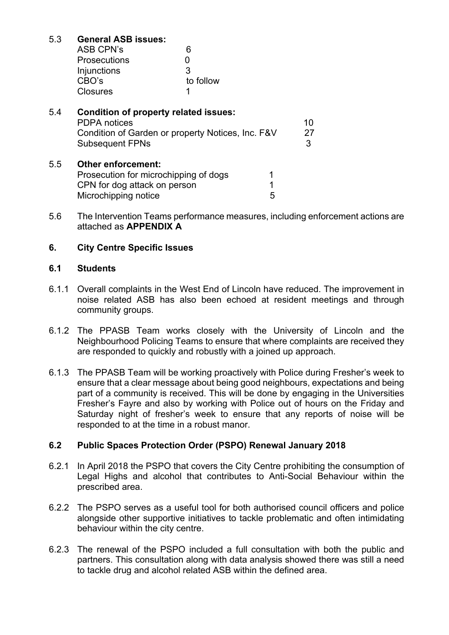# 5.3 **General ASB issues:**

| ASB CPN's           | 6         |
|---------------------|-----------|
| <b>Prosecutions</b> | O         |
| Injunctions         | 3         |
| CBO's               | to follow |
| <b>Closures</b>     |           |

| 5.4 | Condition of property related issues:<br><b>PDPA</b> notices<br>Condition of Garden or property Notices, Inc. F&V<br><b>Subsequent FPNs</b> |        | 10<br>27<br>3 |
|-----|---------------------------------------------------------------------------------------------------------------------------------------------|--------|---------------|
| 5.5 | <b>Other enforcement:</b><br>Prosecution for microchipping of dogs<br>CPN for dog attack on person<br>Microchipping notice                  | 1<br>5 |               |

5.6 The Intervention Teams performance measures, including enforcement actions are attached as **APPENDIX A**

# **6. City Centre Specific Issues**

#### **6.1 Students**

- 6.1.1 Overall complaints in the West End of Lincoln have reduced. The improvement in noise related ASB has also been echoed at resident meetings and through community groups.
- 6.1.2 The PPASB Team works closely with the University of Lincoln and the Neighbourhood Policing Teams to ensure that where complaints are received they are responded to quickly and robustly with a joined up approach.
- 6.1.3 The PPASB Team will be working proactively with Police during Fresher's week to ensure that a clear message about being good neighbours, expectations and being part of a community is received. This will be done by engaging in the Universities Fresher's Fayre and also by working with Police out of hours on the Friday and Saturday night of fresher's week to ensure that any reports of noise will be responded to at the time in a robust manor.

### **6.2 Public Spaces Protection Order (PSPO) Renewal January 2018**

- 6.2.1 In April 2018 the PSPO that covers the City Centre prohibiting the consumption of Legal Highs and alcohol that contributes to Anti-Social Behaviour within the prescribed area.
- 6.2.2 The PSPO serves as a useful tool for both authorised council officers and police alongside other supportive initiatives to tackle problematic and often intimidating behaviour within the city centre.
- 6.2.3 The renewal of the PSPO included a full consultation with both the public and partners. This consultation along with data analysis showed there was still a need to tackle drug and alcohol related ASB within the defined area.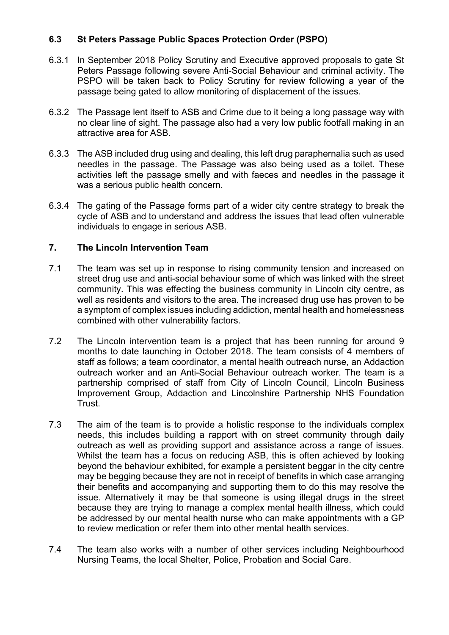# **6.3 St Peters Passage Public Spaces Protection Order (PSPO)**

- 6.3.1 In September 2018 Policy Scrutiny and Executive approved proposals to gate St Peters Passage following severe Anti-Social Behaviour and criminal activity. The PSPO will be taken back to Policy Scrutiny for review following a year of the passage being gated to allow monitoring of displacement of the issues.
- 6.3.2 The Passage lent itself to ASB and Crime due to it being a long passage way with no clear line of sight. The passage also had a very low public footfall making in an attractive area for ASB.
- 6.3.3 The ASB included drug using and dealing, this left drug paraphernalia such as used needles in the passage. The Passage was also being used as a toilet. These activities left the passage smelly and with faeces and needles in the passage it was a serious public health concern.
- 6.3.4 The gating of the Passage forms part of a wider city centre strategy to break the cycle of ASB and to understand and address the issues that lead often vulnerable individuals to engage in serious ASB.

#### **7. The Lincoln Intervention Team**

- 7.1 The team was set up in response to rising community tension and increased on street drug use and anti-social behaviour some of which was linked with the street community. This was effecting the business community in Lincoln city centre, as well as residents and visitors to the area. The increased drug use has proven to be a symptom of complex issues including addiction, mental health and homelessness combined with other vulnerability factors.
- 7.2 The Lincoln intervention team is a project that has been running for around 9 months to date launching in October 2018. The team consists of 4 members of staff as follows; a team coordinator, a mental health outreach nurse, an Addaction outreach worker and an Anti-Social Behaviour outreach worker. The team is a partnership comprised of staff from City of Lincoln Council, Lincoln Business Improvement Group, Addaction and Lincolnshire Partnership NHS Foundation Trust.
- 7.3 The aim of the team is to provide a holistic response to the individuals complex needs, this includes building a rapport with on street community through daily outreach as well as providing support and assistance across a range of issues. Whilst the team has a focus on reducing ASB, this is often achieved by looking beyond the behaviour exhibited, for example a persistent beggar in the city centre may be begging because they are not in receipt of benefits in which case arranging their benefits and accompanying and supporting them to do this may resolve the issue. Alternatively it may be that someone is using illegal drugs in the street because they are trying to manage a complex mental health illness, which could be addressed by our mental health nurse who can make appointments with a GP to review medication or refer them into other mental health services.
- 7.4 The team also works with a number of other services including Neighbourhood Nursing Teams, the local Shelter, Police, Probation and Social Care.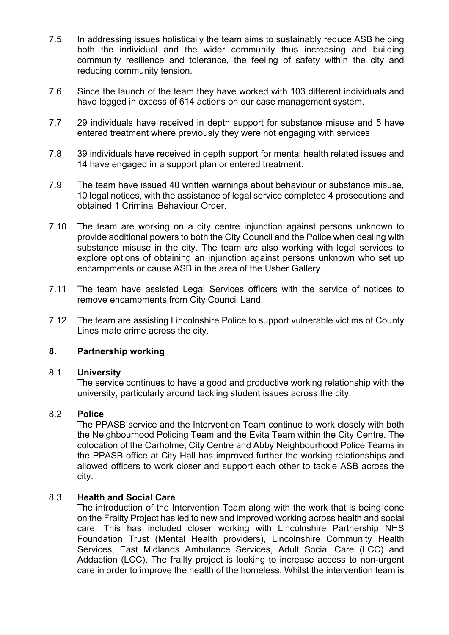- 7.5 In addressing issues holistically the team aims to sustainably reduce ASB helping both the individual and the wider community thus increasing and building community resilience and tolerance, the feeling of safety within the city and reducing community tension.
- 7.6 Since the launch of the team they have worked with 103 different individuals and have logged in excess of 614 actions on our case management system.
- 7.7 29 individuals have received in depth support for substance misuse and 5 have entered treatment where previously they were not engaging with services
- 7.8 39 individuals have received in depth support for mental health related issues and 14 have engaged in a support plan or entered treatment.
- 7.9 The team have issued 40 written warnings about behaviour or substance misuse, 10 legal notices, with the assistance of legal service completed 4 prosecutions and obtained 1 Criminal Behaviour Order.
- 7.10 The team are working on a city centre injunction against persons unknown to provide additional powers to both the City Council and the Police when dealing with substance misuse in the city. The team are also working with legal services to explore options of obtaining an injunction against persons unknown who set up encampments or cause ASB in the area of the Usher Gallery.
- 7.11 The team have assisted Legal Services officers with the service of notices to remove encampments from City Council Land.
- 7.12 The team are assisting Lincolnshire Police to support vulnerable victims of County Lines mate crime across the city.

## **8. Partnership working**

#### 8.1 **University**

The service continues to have a good and productive working relationship with the university, particularly around tackling student issues across the city.

#### 8.2 **Police**

The PPASB service and the Intervention Team continue to work closely with both the Neighbourhood Policing Team and the Evita Team within the City Centre. The colocation of the Carholme, City Centre and Abby Neighbourhood Police Teams in the PPASB office at City Hall has improved further the working relationships and allowed officers to work closer and support each other to tackle ASB across the city.

### 8.3 **Health and Social Care**

The introduction of the Intervention Team along with the work that is being done on the Frailty Project has led to new and improved working across health and social care. This has included closer working with Lincolnshire Partnership NHS Foundation Trust (Mental Health providers), Lincolnshire Community Health Services, East Midlands Ambulance Services, Adult Social Care (LCC) and Addaction (LCC). The frailty project is looking to increase access to non-urgent care in order to improve the health of the homeless. Whilst the intervention team is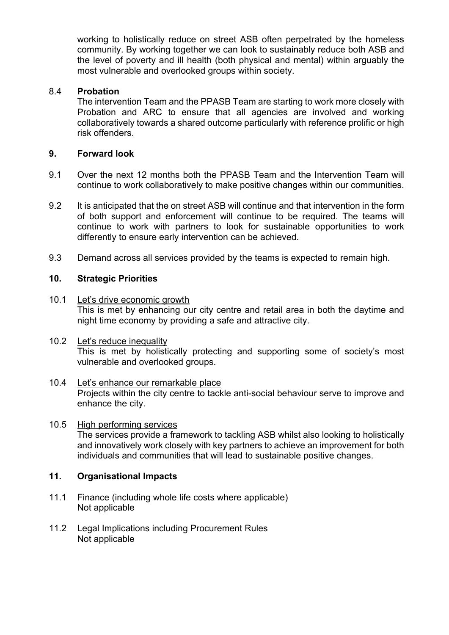working to holistically reduce on street ASB often perpetrated by the homeless community. By working together we can look to sustainably reduce both ASB and the level of poverty and ill health (both physical and mental) within arguably the most vulnerable and overlooked groups within society.

# 8.4 **Probation**

The intervention Team and the PPASB Team are starting to work more closely with Probation and ARC to ensure that all agencies are involved and working collaboratively towards a shared outcome particularly with reference prolific or high risk offenders.

# **9. Forward look**

- 9.1 Over the next 12 months both the PPASB Team and the Intervention Team will continue to work collaboratively to make positive changes within our communities.
- 9.2 It is anticipated that the on street ASB will continue and that intervention in the form of both support and enforcement will continue to be required. The teams will continue to work with partners to look for sustainable opportunities to work differently to ensure early intervention can be achieved.
- 9.3 Demand across all services provided by the teams is expected to remain high.

## **10. Strategic Priorities**

- 10.1 Let's drive economic growth This is met by enhancing our city centre and retail area in both the daytime and night time economy by providing a safe and attractive city.
- 10.2 Let's reduce inequality This is met by holistically protecting and supporting some of society's most vulnerable and overlooked groups.

### 10.4 Let's enhance our remarkable place Projects within the city centre to tackle anti-social behaviour serve to improve and enhance the city.

### 10.5 High performing services The services provide a framework to tackling ASB whilst also looking to holistically and innovatively work closely with key partners to achieve an improvement for both individuals and communities that will lead to sustainable positive changes.

### **11. Organisational Impacts**

- 11.1 Finance (including whole life costs where applicable) Not applicable
- 11.2 Legal Implications including Procurement Rules Not applicable